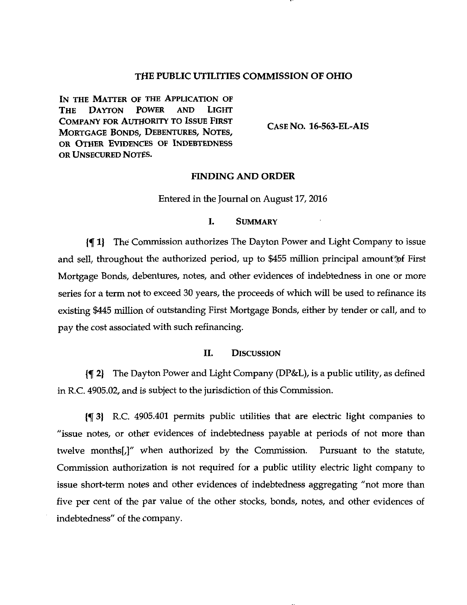#### THE PUBLIC UTILITIES COMMISSION OF OHIO

IN THE MATTER OF THE APPLICATION OF THE DAYTON POWER AND LIGHT COMPANY FOR AUTHORITY TO ISSUE FIRST MORTGAGE BONDS, DEBENTURES, NOTES, OR OTHER EVIDENCES OF INDEBTEDNESS OR UNSECURED NOTES.

CASENO. 16-563-EL-AIS

## FINDING AND ORDER

Entered in the Journal on August 17, 2016

## I. SUMMARY

If 1) The Commission authorizes The Dayton Power and Light Company to issue and sell, throughout the authorized period, up to \$455 million principal amount of First Mortgage Bonds, debentures, notes, and other evidences of indebtedness in one or more series for a term not to exceed 30 years, the proceeds of which will be used to refinance its existing \$445 million of outstanding First Mortgage Bonds, either by tender or call, and to pay the cost associated with such refinancing.

# II. DISCUSSION

 $\P$  2) The Dayton Power and Light Company (DP&L), is a public utility, as defined in R.C. 4905.02, and is subject to the jurisdiction of this Commission.

If 3) R.C 4905.401 permits public utilities that are electtic light companies to "issue notes, or other evidences of indebtedness payable at periods of not more than twelve months[,]" when authorized by the Commission. Pursuant to the statute. Commission authorization is not required for a public utility electric light company to issue short-term notes and other evidences of indebtedness aggregating "not more than five per cent of the par value of the other stocks, bonds, notes, and other evidences of indebtedness" of the company.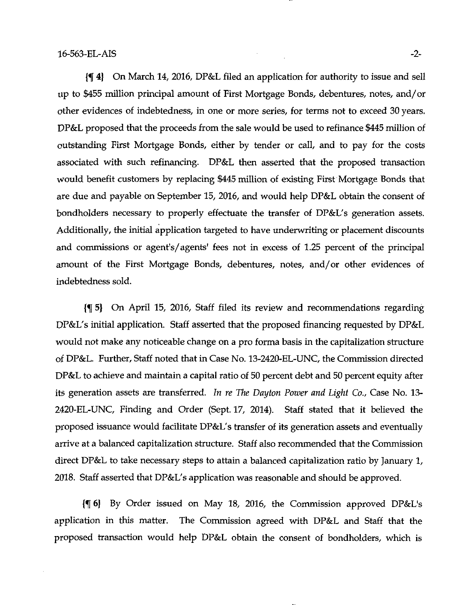jf 4} On March 14, 2016, DP&L filed an application for authority to issue and sell up to \$455 million principal amount of First Mortgage Bonds, debentures, notes, and/or other evidences of indebtedness, in one or more series, for terms not to exceed 30 years. DP&L proposed that the proceeds from the sale would be used to refinance \$445 million of outstanding First Mortgage Bonds, either by tender or call, and to pay for the costs associated with such refinancing. DP&L then asserted that the proposed ttansaction would benefit customers by replacing \$445 million of existing First Mortgage Bonds that are due and payable on September 15, 2016, and would help DP&L obtain the consent of bondholders necessary to properly effectuate the ttansfer of DP&L's generation assets. Additionally, the initial application targeted to have underwriting or placement discounts and commissions or agent's/agents' fees not in excess of 1.25 percent of the principal amount of the First Mortgage Bonds, debentures, notes, and/or other evidences of indebtedness sold.

If 5) On April 15, 2016, Staff filed its review and recommendations regarding DP&L's initial application. Staff asserted that the proposed financing requested by DP&L would not make any noticeable change on a pro forma basis in the capitalization sttucture of DP&L. Further, Staff noted that in Case No. 13-2420-EL-UNC, the Commission directed DP&L to achieve and maintain a capital ratio of 50 percent debt and 50 percent equity after its generation assets are transferred. In re The Dayton Power and Light Co., Case No. 13-2420-EL-UNC, Finding and Order (Sept. 17, 2014). Staff stated that it believed the proposed issuance would facilitate DP&L's ttansfer of its generation assets and eventually arrive at a balanced capitalization sttucture. Staff also recommended that the Commission direct DP&L to take necessary steps to attain a balanced capitalization ratio by January 1, 2018. Staff asserted that DP&L's application was reasonable and should be approved.

If 6} By Order issued on May 18, 2016, the Conunission approved DP&L's application in this matter. The Commission agreed with DP&L and Staff that the proposed ttansaction would help DP&L obtain the consent of bondholders, which is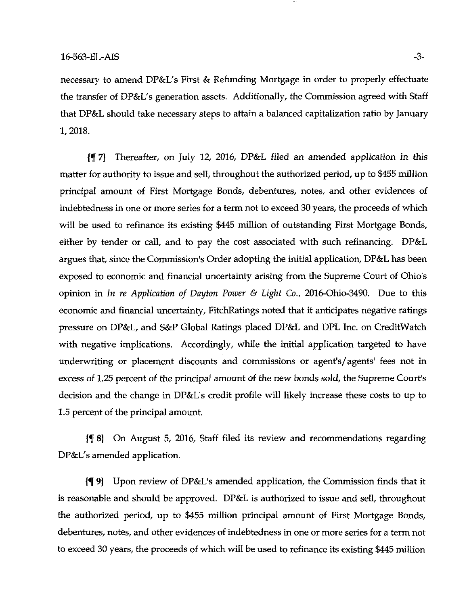necessary to amend DP&L's First & Refunding Mortgage in order to properly effectuate the ttansfer of DP&L's generation assets. Additionally, the Commission agreed with Staff that DP&L should take necessary steps to attain a balanced capitalization ratio by January 1,2018.

{f 7} Thereafter, on July 12, 2016, DP&L filed an amended application in this matter for authority to issue and sell, throughout the authorized period, up to \$455 million principal amount of First Mortgage Bonds, debentures, notes, and other evidences of indebtedness in one or more series for a term not to exceed 30 years, the proceeds of which will be used to refinance its existing \$445 million of outstanding First Mortgage Bonds, either by tender or call, and to pay the cost associated with such refinancing. DP&L argues that, since the Commission's Order adopting the initial application, DP&L has been exposed to economic and financial uncertainty arising from the Supreme Court of Ohio's opinion in In re Application of Dayton Power & Light Co., 2016-Ohio-3490. Due to this economic and financial uncertainty, FitchRatings noted that it anticipates negative ratings pressure on DP&L, and S&P Global Ratings placed DP&L and DPL Inc. on CreditWatch with negative implications. Accordingly, while the initial application targeted to have underwriting or placement discounts and commissions or agent's/agents' fees not in excess of 1.25 percent of the principal amount of the new bonds sold, the Supreme Court's decision and the change in DP&L's credit profile will likely increase these costs to up to 1.5 percent of the principal amount.

If 8) On August 5, 2016, Staff filed its review and recommendations regarding DP&L's amended application.

If 9) Upon review of DP&L's amended application, the Commission finds that it is reasonable and should be approved. DP&L is authorized to issue and sell, throughout the authorized period, up to \$455 million principal amount of First Mortgage Bonds, debentures, notes, and other evidences of indebtedness in one or more series for a term not to exceed 30 years, the proceeds of which will be used to refinance its existing \$445 million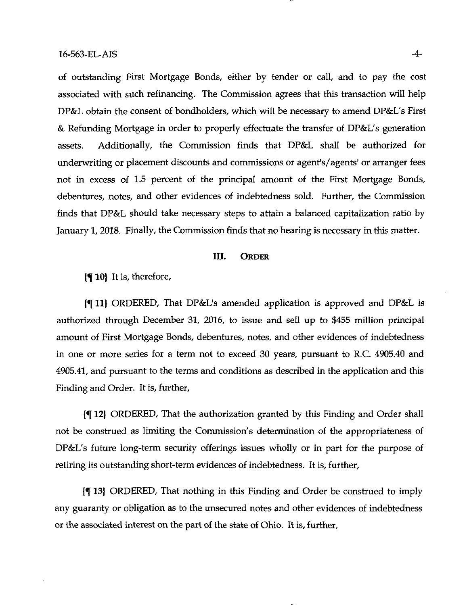of outstanding First Mortgage Bonds, either by tender or call, and to pay the cost associated with such refinancing. The Commission agrees that this transaction will help DP&L obtain the consent of bondholders, which will be necessary to amend DP&L's First & Refunding Mortgage in order to properly effectuate the ttansfer of DP&L's generation assets. Additionally, the Commission finds that DP&L shall be authorized for underwriting or placement discounts and commissions or agent's/agents' or arranger fees not in excess of 1.5 percent of the principal amount of the First Mortgage Bonds, debentures, notes, and other evidences of indebtedness sold. Further, the Commission finds that DP&L should take necessary steps to attain a balanced capitalization ratio by January 1, 2018. Finally, the Commission finds that no hearing is necessary in this matter.

#### III. ORDER

 $\{\P 10\}$  It is, therefore,

If 11} ORDERED, That DP&L's amended application is approved and DP&L is authorized through December 31, 2016, to issue and sell up to \$455 million principal amount of First Mortgage Bonds, debentures, notes, and other evidences of indebtedness in one or more series for a term not to exceed 30 years, pursuant to R.C 4905.40 and 4905.41, and pursuant to the terms and conditions as described in the application and this Finding and Order. It is, further.

If 12} ORDERED, That the authorization granted by this Finding and Order shall not be consttued as limiting the Commission's determination of the appropriateness of DP&L's future long-term security offerings issues wholly or in part for the purpose of retiring its outstanding short-term evidences of indebtedness. It is, further.

If 13} ORDERED, That nothing in this Finding and Order be consttued to imply any guaranty or obligation as to the unsecured notes and other evidences of indebtedness or the associated interest on the part of the state of Ohio. It is, further.